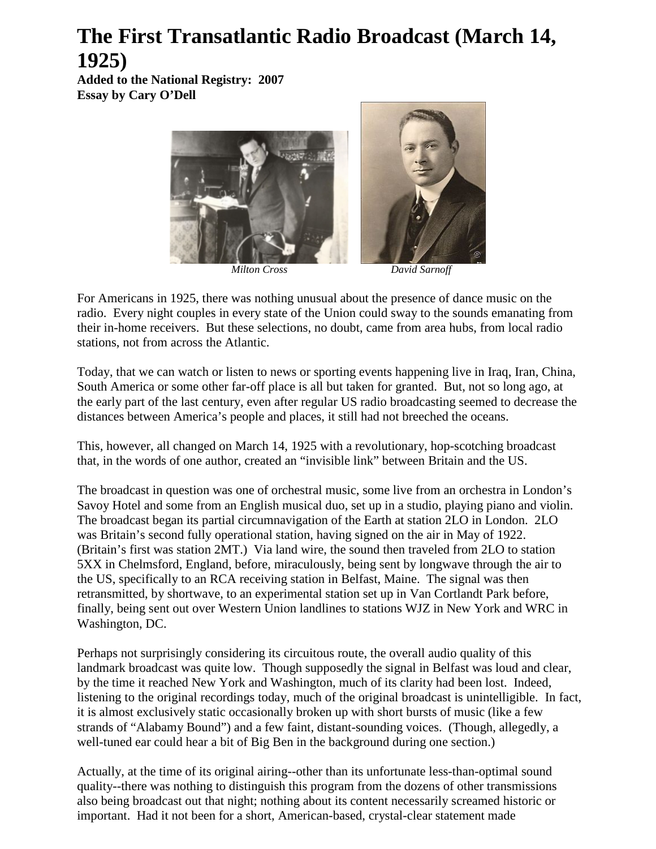## **The First Transatlantic Radio Broadcast (March 14, 1925)**

**Added to the National Registry: 2007 Essay by Cary O'Dell**



For Americans in 1925, there was nothing unusual about the presence of dance music on the radio. Every night couples in every state of the Union could sway to the sounds emanating from their in-home receivers. But these selections, no doubt, came from area hubs, from local radio stations, not from across the Atlantic.

Today, that we can watch or listen to news or sporting events happening live in Iraq, Iran, China, South America or some other far-off place is all but taken for granted. But, not so long ago, at the early part of the last century, even after regular US radio broadcasting seemed to decrease the distances between America's people and places, it still had not breeched the oceans.

This, however, all changed on March 14, 1925 with a revolutionary, hop-scotching broadcast that, in the words of one author, created an "invisible link" between Britain and the US.

The broadcast in question was one of orchestral music, some live from an orchestra in London's Savoy Hotel and some from an English musical duo, set up in a studio, playing piano and violin. The broadcast began its partial circumnavigation of the Earth at station 2LO in London. 2LO was Britain's second fully operational station, having signed on the air in May of 1922. (Britain's first was station 2MT.) Via land wire, the sound then traveled from 2LO to station 5XX in Chelmsford, England, before, miraculously, being sent by longwave through the air to the US, specifically to an RCA receiving station in Belfast, Maine. The signal was then retransmitted, by shortwave, to an experimental station set up in Van Cortlandt Park before, finally, being sent out over Western Union landlines to stations WJZ in New York and WRC in Washington, DC.

Perhaps not surprisingly considering its circuitous route, the overall audio quality of this landmark broadcast was quite low. Though supposedly the signal in Belfast was loud and clear, by the time it reached New York and Washington, much of its clarity had been lost. Indeed, listening to the original recordings today, much of the original broadcast is unintelligible. In fact, it is almost exclusively static occasionally broken up with short bursts of music (like a few strands of "Alabamy Bound") and a few faint, distant-sounding voices. (Though, allegedly, a well-tuned ear could hear a bit of Big Ben in the background during one section.)

Actually, at the time of its original airing--other than its unfortunate less-than-optimal sound quality--there was nothing to distinguish this program from the dozens of other transmissions also being broadcast out that night; nothing about its content necessarily screamed historic or important. Had it not been for a short, American-based, crystal-clear statement made